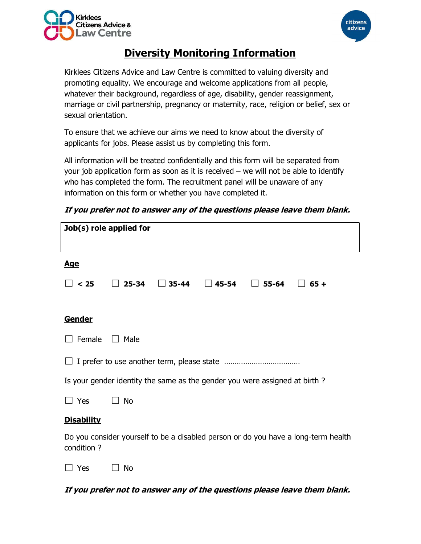



# Diversity Monitoring Information

Kirklees Citizens Advice and Law Centre is committed to valuing diversity and promoting equality. We encourage and welcome applications from all people, whatever their background, regardless of age, disability, gender reassignment, marriage or civil partnership, pregnancy or maternity, race, religion or belief, sex or sexual orientation.

To ensure that we achieve our aims we need to know about the diversity of applicants for jobs. Please assist us by completing this form.

All information will be treated confidentially and this form will be separated from your job application form as soon as it is received  $-$  we will not be able to identify who has completed the form. The recruitment panel will be unaware of any information on this form or whether you have completed it.

| If you prefer not to answer any of the questions please leave them blank. |
|---------------------------------------------------------------------------|
|---------------------------------------------------------------------------|

| Job(s) role applied for                                                                           |                                                              |  |
|---------------------------------------------------------------------------------------------------|--------------------------------------------------------------|--|
|                                                                                                   |                                                              |  |
| <u>Age</u>                                                                                        |                                                              |  |
| $\Box$ < 25                                                                                       | $25 - 34$<br>$\Box$ 35-44<br>45-54<br>$\Box$ 55-64<br>$65 +$ |  |
|                                                                                                   |                                                              |  |
| Gender                                                                                            |                                                              |  |
| Female                                                                                            | Male<br>$\mathbf{L}$                                         |  |
|                                                                                                   |                                                              |  |
| Is your gender identity the same as the gender you were assigned at birth?                        |                                                              |  |
| $\Box$ Yes                                                                                        | $\Box$ No                                                    |  |
| <b>Disability</b>                                                                                 |                                                              |  |
| Do you consider yourself to be a disabled person or do you have a long-term health<br>condition ? |                                                              |  |
| Yes                                                                                               | No                                                           |  |

If you prefer not to answer any of the questions please leave them blank.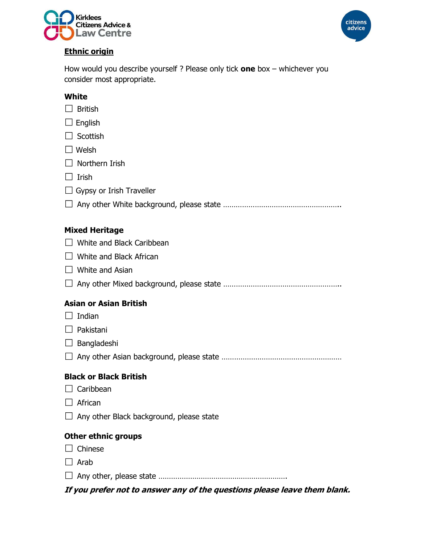



# Ethnic origin

How would you describe yourself ? Please only tick one box  $-$  whichever you consider most appropriate.

# **White**

- $\Box$  British
- $\Box$  English
- $\Box$  Scottish
- □ Welsh
- $\Box$  Northern Irish
- $\Box$  Irish
- $\Box$  Gypsy or Irish Traveller
- Any other White background, please state ………………………………………………..

# Mixed Heritage

- □ White and Black Caribbean
- $\Box$  White and Black African
- $\Box$  White and Asian
- Any other Mixed background, please state ………………………………………………..

### Asian or Asian British

- $\Box$  Indian
- $\Box$  Pakistani
- $\Box$  Bangladeshi
- Any other Asian background, please state …………………………………………………

### Black or Black British

- $\Box$  Caribbean
- $\Box$  African
- $\Box$  Any other Black background, please state

### Other ethnic groups

- $\Box$  Chinese
- $\Box$  Arab
- Any other, please state …………………………………………………….

If you prefer not to answer any of the questions please leave them blank.